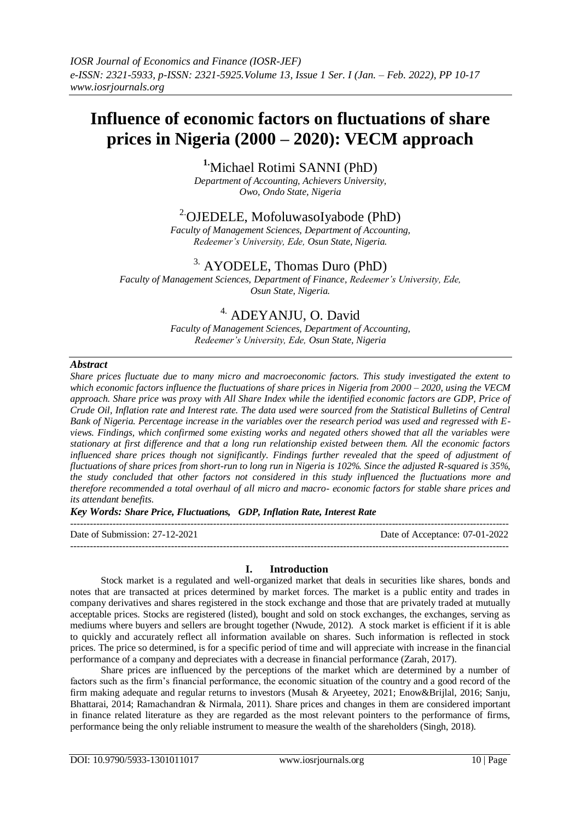# **Influence of economic factors on fluctuations of share prices in Nigeria (2000 – 2020): VECM approach**

# **1.**Michael Rotimi SANNI (PhD)

*Department of Accounting, Achievers University, Owo, Ondo State, Nigeria*

# 2.OJEDELE, MofoluwasoIyabode (PhD)

*Faculty of Management Sciences, Department of Accounting, Redeemer's University, Ede, Osun State, Nigeria.*

# 3. AYODELE, Thomas Duro (PhD)

*Faculty of Management Sciences, Department of Finance, Redeemer's University, Ede, Osun State, Nigeria.*

# 4. ADEYANJU, O. David

*Faculty of Management Sciences, Department of Accounting, Redeemer's University, Ede, Osun State, Nigeria*

# *Abstract*

*Share prices fluctuate due to many micro and macroeconomic factors. This study investigated the extent to which economic factors influence the fluctuations of share prices in Nigeria from 2000 – 2020, using the VECM approach. Share price was proxy with All Share Index while the identified economic factors are GDP, Price of Crude Oil, Inflation rate and Interest rate. The data used were sourced from the Statistical Bulletins of Central Bank of Nigeria. Percentage increase in the variables over the research period was used and regressed with Eviews. Findings, which confirmed some existing works and negated others showed that all the variables were stationary at first difference and that a long run relationship existed between them. All the economic factors influenced share prices though not significantly. Findings further revealed that the speed of adjustment of fluctuations of share prices from short-run to long run in Nigeria is 102%. Since the adjusted R-squared is 35%, the study concluded that other factors not considered in this study influenced the fluctuations more and therefore recommended a total overhaul of all micro and macro- economic factors for stable share prices and its attendant benefits.*

*Key Words: Share Price, Fluctuations, GDP, Inflation Rate, Interest Rate* 

---------------------------------------------------------------------------------------------------------------------------------------

Date of Submission: 27-12-2021 Date of Acceptance: 07-01-2022

# **I. Introduction**

 $-1\leq i\leq n-1\leq n-1\leq n-1\leq n-1\leq n-1\leq n-1\leq n-1\leq n-1\leq n-1\leq n-1\leq n-1\leq n-1\leq n-1\leq n-1\leq n-1\leq n-1\leq n-1\leq n-1\leq n-1\leq n-1\leq n-1\leq n-1\leq n-1\leq n-1\leq n-1\leq n-1\leq n-1\leq n-1\leq n-1\leq n-1\leq n-1\leq n-1\leq n-1\leq n-1\leq n-1\leq n$ 

Stock market is a regulated and well-organized market that deals in securities like shares, bonds and notes that are transacted at prices determined by market forces. The market is a public entity and trades in company derivatives and shares registered in the stock exchange and those that are privately traded at mutually acceptable prices. Stocks are registered (listed), bought and sold on stock exchanges, the exchanges, serving as mediums where buyers and sellers are brought together (Nwude, 2012). A stock market is efficient if it is able to quickly and accurately reflect all information available on shares. Such information is reflected in stock prices. The price so determined, is for a specific period of time and will appreciate with increase in the financial performance of a company and depreciates with a decrease in financial performance (Zarah, 2017).

Share prices are influenced by the perceptions of the market which are determined by a number of factors such as the firm's financial performance, the economic situation of the country and a good record of the firm making adequate and regular returns to investors (Musah & Aryeetey, 2021; Enow&Brijlal, 2016; Sanju, Bhattarai, 2014; Ramachandran & Nirmala, 2011). Share prices and changes in them are considered important in finance related literature as they are regarded as the most relevant pointers to the performance of firms, performance being the only reliable instrument to measure the wealth of the shareholders (Singh, 2018).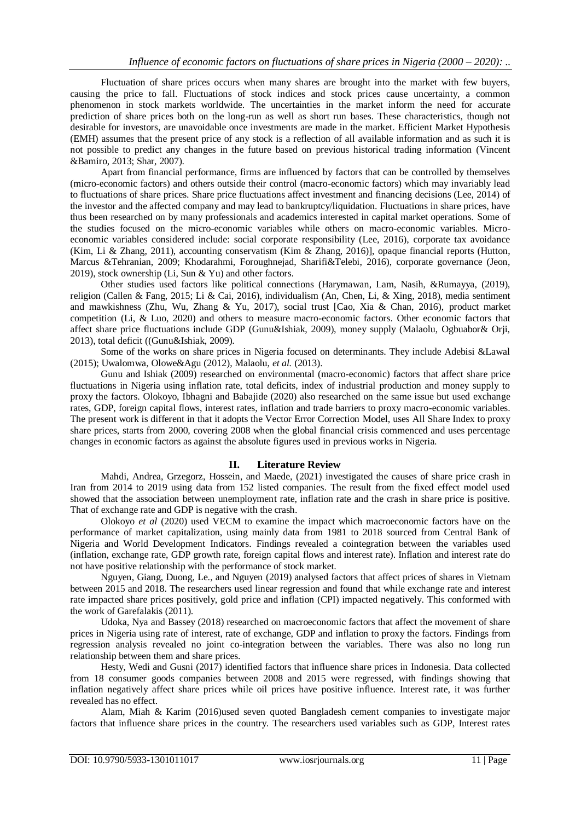Fluctuation of share prices occurs when many shares are brought into the market with few buyers, causing the price to fall. Fluctuations of stock indices and stock prices cause uncertainty, a common phenomenon in stock markets worldwide. The uncertainties in the market inform the need for accurate prediction of share prices both on the long-run as well as short run bases. These characteristics, though not desirable for investors, are unavoidable once investments are made in the market. Efficient Market Hypothesis (EMH) assumes that the present price of any stock is a reflection of all available information and as such it is not possible to predict any changes in the future based on previous historical trading information (Vincent &Bamiro, 2013; Shar, 2007).

Apart from financial performance, firms are influenced by factors that can be controlled by themselves (micro-economic factors) and others outside their control (macro-economic factors) which may invariably lead to fluctuations of share prices. Share price fluctuations affect investment and financing decisions (Lee, 2014) of the investor and the affected company and may lead to bankruptcy/liquidation. Fluctuations in share prices, have thus been researched on by many professionals and academics interested in capital market operations. Some of the studies focused on the micro-economic variables while others on macro-economic variables. Microeconomic variables considered include: social corporate responsibility (Lee, 2016), corporate tax avoidance (Kim, Li & Zhang, 2011), accounting conservatism (Kim & Zhang, 2016)], opaque financial reports (Hutton, Marcus &Tehranian, 2009; Khodarahmi, Foroughnejad, Sharifi&Telebi, 2016), corporate governance (Jeon, 2019), stock ownership (Li, Sun & Yu) and other factors.

Other studies used factors like political connections (Harymawan, Lam, Nasih, &Rumayya, (2019), religion (Callen & Fang, 2015; Li & Cai, 2016), individualism (An, Chen, Li, & Xing, 2018), media sentiment and mawkishness (Zhu, Wu, Zhang & Yu, 2017), social trust [Cao, Xia & Chan, 2016), product market competition (Li, & Luo, 2020) and others to measure macro-economic factors. Other economic factors that affect share price fluctuations include GDP (Gunu&Ishiak, 2009), money supply (Malaolu, Ogbuabor& Orji, 2013), total deficit ((Gunu&Ishiak, 2009).

Some of the works on share prices in Nigeria focused on determinants. They include Adebisi &Lawal (2015); Uwalomwa, Olowe&Agu (2012), Malaolu, *et al.* (2013).

Gunu and Ishiak (2009) researched on environmental (macro-economic) factors that affect share price fluctuations in Nigeria using inflation rate, total deficits, index of industrial production and money supply to proxy the factors. Olokoyo, Ibhagni and Babajide (2020) also researched on the same issue but used exchange rates, GDP, foreign capital flows, interest rates, inflation and trade barriers to proxy macro-economic variables. The present work is different in that it adopts the Vector Error Correction Model, uses All Share Index to proxy share prices, starts from 2000, covering 2008 when the global financial crisis commenced and uses percentage changes in economic factors as against the absolute figures used in previous works in Nigeria.

# **II. Literature Review**

Mahdi, Andrea, Grzegorz, Hossein, and Maede, (2021) investigated the causes of share price crash in Iran from 2014 to 2019 using data from 152 listed companies. The result from the fixed effect model used showed that the association between unemployment rate, inflation rate and the crash in share price is positive. That of exchange rate and GDP is negative with the crash.

Olokoyo *et al* (2020) used VECM to examine the impact which macroeconomic factors have on the performance of market capitalization, using mainly data from 1981 to 2018 sourced from Central Bank of Nigeria and World Development Indicators. Findings revealed a cointegration between the variables used (inflation, exchange rate, GDP growth rate, foreign capital flows and interest rate). Inflation and interest rate do not have positive relationship with the performance of stock market.

Nguyen, Giang, Duong, Le., and Nguyen (2019) analysed factors that affect prices of shares in Vietnam between 2015 and 2018. The researchers used linear regression and found that while exchange rate and interest rate impacted share prices positively, gold price and inflation (CPI) impacted negatively. This conformed with the work of Garefalakis (2011).

Udoka, Nya and Bassey (2018) researched on macroeconomic factors that affect the movement of share prices in Nigeria using rate of interest, rate of exchange, GDP and inflation to proxy the factors. Findings from regression analysis revealed no joint co-integration between the variables. There was also no long run relationship between them and share prices.

Hesty, Wedi and Gusni (2017) identified factors that influence share prices in Indonesia. Data collected from 18 consumer goods companies between 2008 and 2015 were regressed, with findings showing that inflation negatively affect share prices while oil prices have positive influence. Interest rate, it was further revealed has no effect.

Alam, Miah & Karim (2016)used seven quoted Bangladesh cement companies to investigate major factors that influence share prices in the country. The researchers used variables such as GDP, Interest rates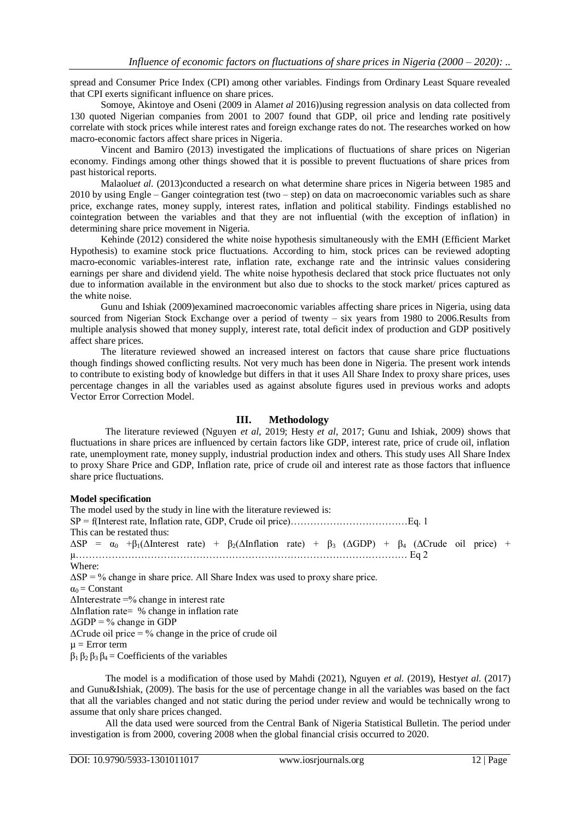spread and Consumer Price Index (CPI) among other variables. Findings from Ordinary Least Square revealed that CPI exerts significant influence on share prices.

Somoye, Akintoye and Oseni (2009 in Alam*et al* 2016))using regression analysis on data collected from 130 quoted Nigerian companies from 2001 to 2007 found that GDP, oil price and lending rate positively correlate with stock prices while interest rates and foreign exchange rates do not. The researches worked on how macro-economic factors affect share prices in Nigeria.

Vincent and Bamiro (2013) investigated the implications of fluctuations of share prices on Nigerian economy. Findings among other things showed that it is possible to prevent fluctuations of share prices from past historical reports.

Malaolu*et al.* (2013)conducted a research on what determine share prices in Nigeria between 1985 and 2010 by using Engle – Ganger cointegration test (two – step) on data on macroeconomic variables such as share price, exchange rates, money supply, interest rates, inflation and political stability. Findings established no cointegration between the variables and that they are not influential (with the exception of inflation) in determining share price movement in Nigeria.

Kehinde (2012) considered the white noise hypothesis simultaneously with the EMH (Efficient Market Hypothesis) to examine stock price fluctuations. According to him, stock prices can be reviewed adopting macro-economic variables-interest rate, inflation rate, exchange rate and the intrinsic values considering earnings per share and dividend yield. The white noise hypothesis declared that stock price fluctuates not only due to information available in the environment but also due to shocks to the stock market/ prices captured as the white noise.

Gunu and Ishiak (2009)examined macroeconomic variables affecting share prices in Nigeria, using data sourced from Nigerian Stock Exchange over a period of twenty – six years from 1980 to 2006.Results from multiple analysis showed that money supply, interest rate, total deficit index of production and GDP positively affect share prices.

The literature reviewed showed an increased interest on factors that cause share price fluctuations though findings showed conflicting results. Not very much has been done in Nigeria. The present work intends to contribute to existing body of knowledge but differs in that it uses All Share Index to proxy share prices, uses percentage changes in all the variables used as against absolute figures used in previous works and adopts Vector Error Correction Model.

# **III. Methodology**

The literature reviewed (Nguyen *et al,* 2019; Hesty *et al,* 2017; Gunu and Ishiak, 2009) shows that fluctuations in share prices are influenced by certain factors like GDP, interest rate, price of crude oil, inflation rate, unemployment rate, money supply, industrial production index and others. This study uses All Share Index to proxy Share Price and GDP, Inflation rate, price of crude oil and interest rate as those factors that influence share price fluctuations.

#### **Model specification**

The model used by the study in line with the literature reviewed is: SP = f(Interest rate, Inflation rate, GDP, Crude oil price)………………………………Eq. 1 This can be restated thus:  $\Delta SP = \alpha_0 + \beta_1(\Delta Interest \text{ rate}) + \beta_2(\Delta Intlation \text{ rate}) + \beta_3 (\Delta GDP) + \beta_4 (\Delta Circle \text{ oil price}) +$ µ………………………………………………………………………………………… Eq 2 Where:  $\Delta SP = \%$  change in share price. All Share Index was used to proxy share price.  $\alpha_0$  = Constant  $\Delta$ Interestrate =% change in interest rate ΔInflation rate= % change in inflation rate  $\triangle$ GDP = % change in GDP  $\Delta$ Crude oil price = % change in the price of crude oil  $\mu$  = Error term β1 β2 β3 β4 = Coefficients of the variables

The model is a modification of those used by Mahdi (2021), Nguyen *et al.* (2019), Hesty*et al.* (2017) and Gunu&Ishiak, (2009). The basis for the use of percentage change in all the variables was based on the fact that all the variables changed and not static during the period under review and would be technically wrong to assume that only share prices changed.

All the data used were sourced from the Central Bank of Nigeria Statistical Bulletin. The period under investigation is from 2000, covering 2008 when the global financial crisis occurred to 2020.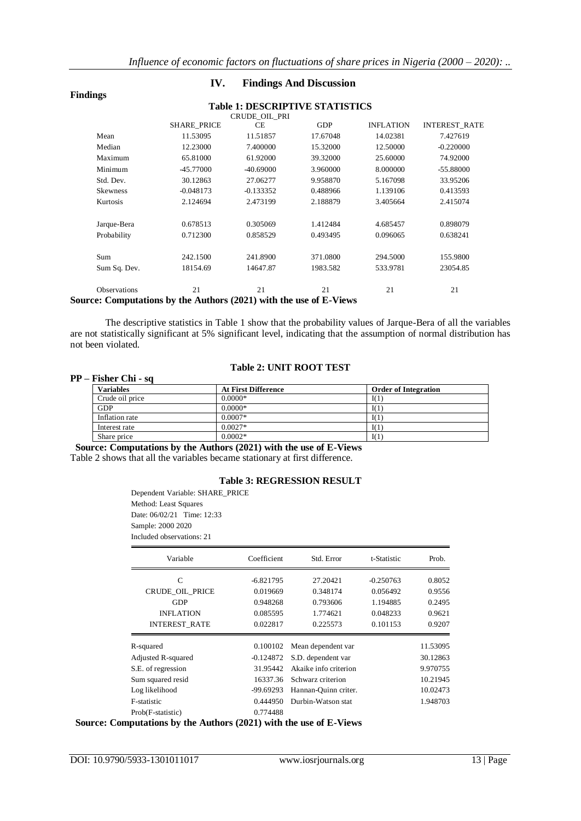#### **Findings**

### **IV. Findings And Discussion**

|                     | <b>SHARE PRICE</b> | CЕ          | <b>GDP</b>    | <b>INFLATION</b> | <b>INTEREST RATE</b>                                               |
|---------------------|--------------------|-------------|---------------|------------------|--------------------------------------------------------------------|
| Mean                | 11.53095           | 11.51857    | 17.67048      | 14.02381         | 7.427619                                                           |
| Median              | 12.23000           | 7.400000    | 15.32000      | 12.50000         | $-0.220000$                                                        |
| Maximum             | 65.81000           | 61.92000    | 39.32000      | 25.60000         | 74.92000                                                           |
| Minimum             | -45.77000          | $-40.69000$ | 3.960000      | 8.000000         | $-55.88000$                                                        |
| Std. Dev.           | 30.12863           | 27.06277    | 9.958870      | 5.167098         | 33.95206                                                           |
| <b>Skewness</b>     | $-0.048173$        | $-0.133352$ | 0.488966      | 1.139106         | 0.413593                                                           |
| Kurtosis            | 2.124694           | 2.473199    | 2.188879      | 3.405664         | 2.415074                                                           |
| Jarque-Bera         | 0.678513           | 0.305069    | 1.412484      | 4.685457         | 0.898079                                                           |
| Probability         | 0.712300           | 0.858529    | 0.493495      | 0.096065         | 0.638241                                                           |
| Sum                 | 242.1500           | 241.8900    | 371.0800      | 294.5000         | 155.9800                                                           |
| Sum Sq. Dev.        | 18154.69           | 14647.87    | 1983.582      | 533.9781         | 23054.85                                                           |
| <b>Observations</b> | 21                 | 21          | 21            | 21               | 21                                                                 |
|                     |                    |             |               |                  |                                                                    |
|                     |                    |             | CRUDE OIL PRI |                  | Source: Computations by the Authors (2021) with the use of E-Views |

# **Table 1: DESCRIPTIVE STATISTICS**

The descriptive statistics in Table 1 show that the probability values of Jarque-Bera of all the variables are not statistically significant at 5% significant level, indicating that the assumption of normal distribution has not been violated.

### **Table 2: UNIT ROOT TEST**

| $PP - Fisher Chi - sq$ |                            |                             |
|------------------------|----------------------------|-----------------------------|
| <b>Variables</b>       | <b>At First Difference</b> | <b>Order of Integration</b> |
| Crude oil price        | $0.0000*$                  | I(1)                        |
| GDP                    | $0.0000*$                  | I(1)                        |
| Inflation rate         | $0.0007*$                  | I(1)                        |
| Interest rate          | $0.0027*$                  | I(1)                        |
| Share price            | $0.0002*$                  | I(1)                        |

 **Source: Computations by the Authors (2021) with the use of E-Views** Table 2 shows that all the variables became stationary at first difference.

### **Table 3: REGRESSION RESULT**

Dependent Variable: SHARE\_PRICE Method: Least Squares Date: 06/02/21 Time: 12:33 Sample: 2000 2020 Included observations: 21

| Variable                | Coefficient | Std. Error            | t-Statistic | Prob.    |
|-------------------------|-------------|-----------------------|-------------|----------|
| C                       | $-6.821795$ | 27.20421              | $-0.250763$ | 0.8052   |
| <b>CRUDE OIL PRICE</b>  | 0.019669    | 0.348174              | 0.056492    | 0.9556   |
| <b>GDP</b>              | 0.948268    | 0.793606              | 1.194885    | 0.2495   |
| <b>INFLATION</b>        | 0.085595    | 1.774621              | 0.048233    | 0.9621   |
| <b>INTEREST RATE</b>    | 0.022817    | 0.225573              | 0.101153    | 0.9207   |
| R-squared               | 0.100102    | Mean dependent var    |             | 11.53095 |
| Adjusted R-squared      | $-0.124872$ | S.D. dependent var    |             | 30.12863 |
| S.E. of regression      | 31.95442    | Akaike info criterion |             | 9.970755 |
| Sum squared resid       | 16337.36    | Schwarz criterion     |             | 10.21945 |
| Log likelihood          | -99.69293   | Hannan-Quinn criter.  |             | 10.02473 |
| F-statistic<br>0.444950 |             | Durbin-Watson stat    |             | 1.948703 |
| Prob(F-statistic)       | 0.774488    |                       |             |          |

 **Source: Computations by the Authors (2021) with the use of E-Views**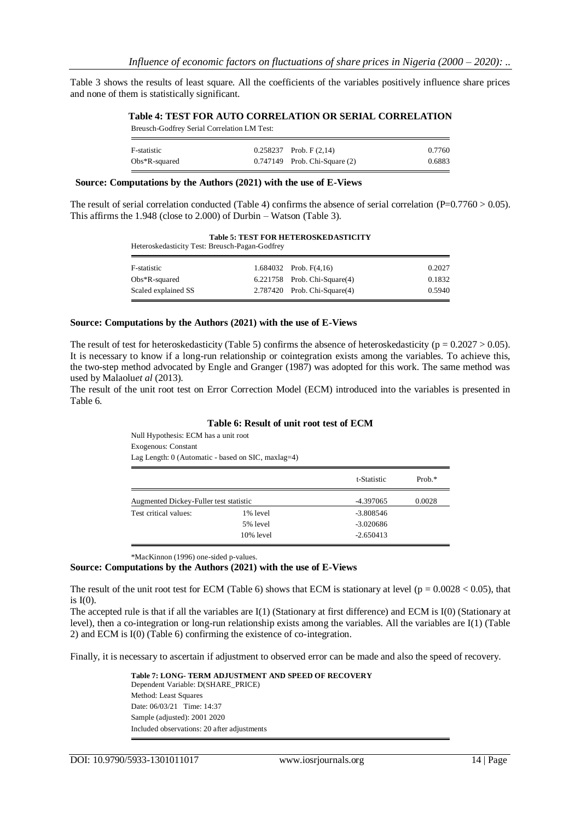Table 3 shows the results of least square. All the coefficients of the variables positively influence share prices and none of them is statistically significant.

#### **Table 4: TEST FOR AUTO CORRELATION OR SERIAL CORRELATION**

| Breusch-Gouliev Serial Correlation Livi Test. |  |                                   |        |  |  |
|-----------------------------------------------|--|-----------------------------------|--------|--|--|
| F-statistic                                   |  | $0.258237$ Prob. F $(2,14)$       | 0.7760 |  |  |
| $Obs*R$ -squared                              |  | $0.747149$ Prob. Chi-Square $(2)$ | 0.6883 |  |  |

#### **Source: Computations by the Authors (2021) with the use of E-Views**

Breusch-Godfrey Serial Correlation LM Test:

The result of serial correlation conducted (Table 4) confirms the absence of serial correlation ( $P=0.7760 > 0.05$ ). This affirms the 1.948 (close to 2.000) of Durbin – Watson (Table 3).

|                                                | <b>Table 5: TEST FOR HETEROSKEDASTICITY</b> |
|------------------------------------------------|---------------------------------------------|
| Heteroskedasticity Test: Breusch-Pagan-Godfrey |                                             |

| F-statistic         | 1.684032 Prob. $F(4,16)$          | 0.2027 |
|---------------------|-----------------------------------|--------|
| $Obs*R$ -squared    | $6.221758$ Prob. Chi-Square $(4)$ | 0.1832 |
| Scaled explained SS | $2.787420$ Prob. Chi-Square $(4)$ | 0.5940 |

#### **Source: Computations by the Authors (2021) with the use of E-Views**

The result of test for heteroskedasticity (Table 5) confirms the absence of heteroskedasticity ( $p = 0.2027 > 0.05$ ). It is necessary to know if a long-run relationship or cointegration exists among the variables. To achieve this, the two-step method advocated by Engle and Granger (1987) was adopted for this work. The same method was used by Malaolu*et al* (2013).

The result of the unit root test on Error Correction Model (ECM) introduced into the variables is presented in Table 6.

#### **Table 6: Result of unit root test of ECM**

Null Hypothesis: ECM has a unit root Exogenous: Constant Lag Length: 0 (Automatic - based on SIC, maxlag=4)

|                                        |              | t-Statistic | $Prob.*$ |
|----------------------------------------|--------------|-------------|----------|
| Augmented Dickey-Fuller test statistic |              | -4.397065   | 0.0028   |
| Test critical values:                  | 1% level     | -3.808546   |          |
|                                        | 5% level     | $-3.020686$ |          |
|                                        | $10\%$ level | $-2.650413$ |          |

\*MacKinnon (1996) one-sided p-values.

#### **Source: Computations by the Authors (2021) with the use of E-Views**

The result of the unit root test for ECM (Table 6) shows that ECM is stationary at level ( $p = 0.0028 < 0.05$ ), that is  $I(0)$ .

The accepted rule is that if all the variables are I(1) (Stationary at first difference) and ECM is I(0) (Stationary at level), then a co-integration or long-run relationship exists among the variables. All the variables are I(1) (Table 2) and ECM is I(0) (Table 6) confirming the existence of co-integration.

Finally, it is necessary to ascertain if adjustment to observed error can be made and also the speed of recovery.

**Table 7: LONG- TERM ADJUSTMENT AND SPEED OF RECOVERY** Dependent Variable: D(SHARE\_PRICE) Method: Least Squares Date: 06/03/21 Time: 14:37 Sample (adjusted): 2001 2020 Included observations: 20 after adjustments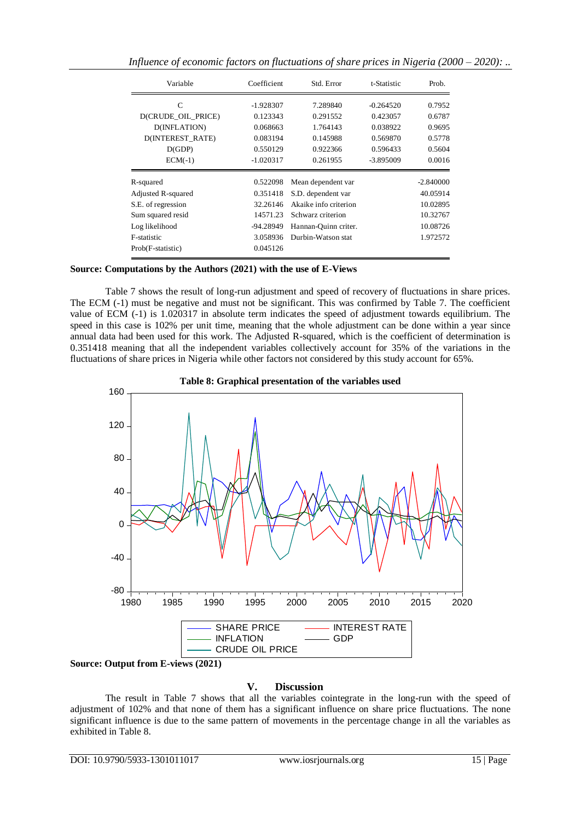|  |  |  | Influence of economic factors on fluctuations of share prices in Nigeria (2000 – 2020): |
|--|--|--|-----------------------------------------------------------------------------------------|

| Variable           | Coefficient | Std. Error            | t-Statistic | Prob.       |
|--------------------|-------------|-----------------------|-------------|-------------|
| $\mathsf{C}$       | -1.928307   | 7.289840              | $-0.264520$ | 0.7952      |
| D(CRUDE_OIL_PRICE) | 0.123343    | 0.291552              | 0.423057    | 0.6787      |
| D(INFLATION)       | 0.068663    | 1.764143              | 0.038922    | 0.9695      |
| D(INTEREST RATE)   | 0.083194    | 0.145988              | 0.569870    | 0.5778      |
| D(GDP)             | 0.550129    | 0.922366              | 0.596433    | 0.5604      |
| $ECM(-1)$          | $-1.020317$ | 0.261955              | -3.895009   | 0.0016      |
| R-squared          | 0.522098    | Mean dependent var    |             | $-2.840000$ |
| Adjusted R-squared | 0.351418    | S.D. dependent var    |             | 40.05914    |
| S.E. of regression | 32.26146    | Akaike info criterion |             | 10.02895    |
| Sum squared resid  | 14571.23    | Schwarz criterion     |             | 10.32767    |
| Log likelihood     | -94.28949   | Hannan-Quinn criter.  |             | 10.08726    |
| F-statistic        | 3.058936    | Durbin-Watson stat    |             | 1.972572    |
| Prob(F-statistic)  | 0.045126    |                       |             |             |

#### **Source: Computations by the Authors (2021) with the use of E-Views**

Table 7 shows the result of long-run adjustment and speed of recovery of fluctuations in share prices. The ECM (-1) must be negative and must not be significant. This was confirmed by Table 7. The coefficient value of ECM (-1) is 1.020317 in absolute term indicates the speed of adjustment towards equilibrium. The speed in this case is 102% per unit time, meaning that the whole adjustment can be done within a year since annual data had been used for this work. The Adjusted R-squared, which is the coefficient of determination is 0.351418 meaning that all the independent variables collectively account for 35% of the variations in the fluctuations of share prices in Nigeria while other factors not considered by this study account for 65%.





# **V. Discussion**

The result in Table 7 shows that all the variables cointegrate in the long-run with the speed of adjustment of 102% and that none of them has a significant influence on share price fluctuations. The none significant influence is due to the same pattern of movements in the percentage change in all the variables as exhibited in Table 8.

**Source: Output from E-views (2021)**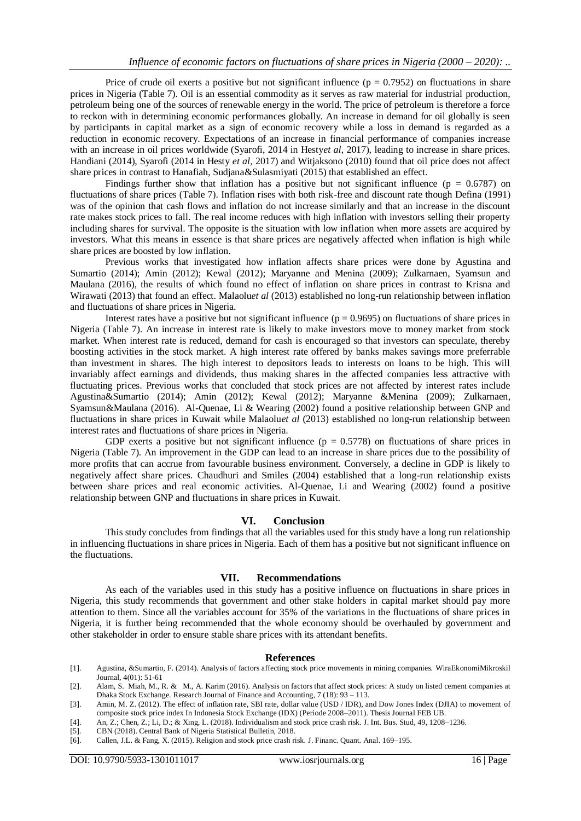Price of crude oil exerts a positive but not significant influence ( $p = 0.7952$ ) on fluctuations in share prices in Nigeria (Table 7). Oil is an essential commodity as it serves as raw material for industrial production, petroleum being one of the sources of renewable energy in the world. The price of petroleum is therefore a force to reckon with in determining economic performances globally. An increase in demand for oil globally is seen by participants in capital market as a sign of economic recovery while a loss in demand is regarded as a reduction in economic recovery. Expectations of an increase in financial performance of companies increase with an increase in oil prices worldwide (Syarofi, 2014 in Hesty*et al*, 2017), leading to increase in share prices. Handiani (2014), Syarofi (2014 in Hesty *et al,* 2017) and Witjaksono (2010) found that oil price does not affect share prices in contrast to Hanafiah, Sudjana&Sulasmiyati (2015) that established an effect.

Findings further show that inflation has a positive but not significant influence ( $p = 0.6787$ ) on fluctuations of share prices (Table 7). Inflation rises with both risk-free and discount rate though Defina (1991) was of the opinion that cash flows and inflation do not increase similarly and that an increase in the discount rate makes stock prices to fall. The real income reduces with high inflation with investors selling their property including shares for survival. The opposite is the situation with low inflation when more assets are acquired by investors. What this means in essence is that share prices are negatively affected when inflation is high while share prices are boosted by low inflation.

Previous works that investigated how inflation affects share prices were done by Agustina and Sumartio (2014); Amin (2012); Kewal (2012); Maryanne and Menina (2009); Zulkarnaen, Syamsun and Maulana (2016), the results of which found no effect of inflation on share prices in contrast to Krisna and Wirawati (2013) that found an effect. Malaolu*et al* (2013) established no long-run relationship between inflation and fluctuations of share prices in Nigeria.

Interest rates have a positive but not significant influence ( $p = 0.9695$ ) on fluctuations of share prices in Nigeria (Table 7). An increase in interest rate is likely to make investors move to money market from stock market. When interest rate is reduced, demand for cash is encouraged so that investors can speculate, thereby boosting activities in the stock market. A high interest rate offered by banks makes savings more preferrable than investment in shares. The high interest to depositors leads to interests on loans to be high. This will invariably affect earnings and dividends, thus making shares in the affected companies less attractive with fluctuating prices. Previous works that concluded that stock prices are not affected by interest rates include Agustina&Sumartio (2014); Amin (2012); Kewal (2012); Maryanne &Menina (2009); Zulkarnaen, Syamsun&Maulana (2016). Al-Quenae, Li & Wearing (2002) found a positive relationship between GNP and fluctuations in share prices in Kuwait while Malaolu*et al* (2013) established no long-run relationship between interest rates and fluctuations of share prices in Nigeria.

GDP exerts a positive but not significant influence ( $p = 0.5778$ ) on fluctuations of share prices in Nigeria (Table 7). An improvement in the GDP can lead to an increase in share prices due to the possibility of more profits that can accrue from favourable business environment. Conversely, a decline in GDP is likely to negatively affect share prices. Chaudhuri and Smiles (2004) established that a long-run relationship exists between share prices and real economic activities. Al-Quenae, Li and Wearing (2002) found a positive relationship between GNP and fluctuations in share prices in Kuwait.

#### **VI. Conclusion**

This study concludes from findings that all the variables used for this study have a long run relationship in influencing fluctuations in share prices in Nigeria. Each of them has a positive but not significant influence on the fluctuations.

#### **VII. Recommendations**

As each of the variables used in this study has a positive influence on fluctuations in share prices in Nigeria, this study recommends that government and other stake holders in capital market should pay more attention to them. Since all the variables account for 35% of the variations in the fluctuations of share prices in Nigeria, it is further being recommended that the whole economy should be overhauled by government and other stakeholder in order to ensure stable share prices with its attendant benefits.

#### **References**

- [1]. Agustina, &Sumartio, F. (2014). Analysis of factors affecting stock price movements in mining companies. WiraEkonomiMikroskil Journal, 4(01): 51-61
- [2]. Alam, S. Miah, M., R. & M., A. Karim (2016). Analysis on factors that affect stock prices: A study on listed cement companies at Dhaka Stock Exchange. Research Journal of Finance and Accounting, 7 (18): 93 – 113.
- [3]. Amin, M. Z. (2012). The effect of inflation rate, SBI rate, dollar value (USD / IDR), and Dow Jones Index (DJIA) to movement of composite stock price index In Indonesia Stock Exchange (IDX) (Periode 2008–2011). Thesis Journal FEB UB.
- [4]. An, Z.; Chen, Z.; Li, D.; & Xing, L. (2018). Individualism and stock price crash risk. J. Int. Bus. Stud, 49, 1208–1236.
- [5]. CBN (2018). Central Bank of Nigeria Statistical Bulletin, 2018.
- [6]. Callen, J.L. & Fang, X. (2015). Religion and stock price crash risk. J. Financ. Quant. Anal. 169–195.